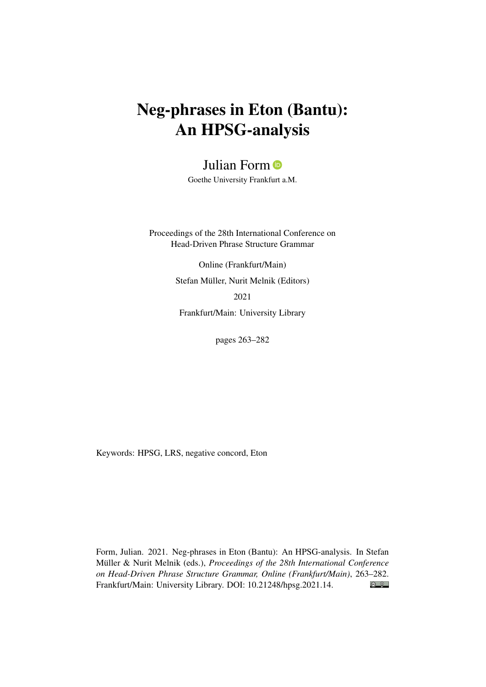# Neg-phrases in Eton (Bantu): An HPSG-analysis

## Julian Form<sup>®</sup>

Goethe University Frankfurt a.M.

Proceedings of the 28th International Conference on Head-Driven Phrase Structure Grammar

> Online (Frankfurt/Main) Stefan Müller, Nurit Melnik (Editors) 2021

Frankfurt/Main: University Library

pages 263–282

Keywords: HPSG, LRS, negative concord, Eton

Form, Julian. 2021. Neg-phrases in Eton (Bantu): An HPSG-analysis. In Stefan Müller & Nurit Melnik (eds.), *Proceedings of the 28th International Conference on Head-Driven Phrase Structure Grammar, Online (Frankfurt/Main)*, 263–282.  $\bigcirc$   $\bigcirc$ Frankfurt/Main: University Library. DOI: [10.21248/hpsg.2021.14.](http://doi.org/10.21248/hpsg.2021.14)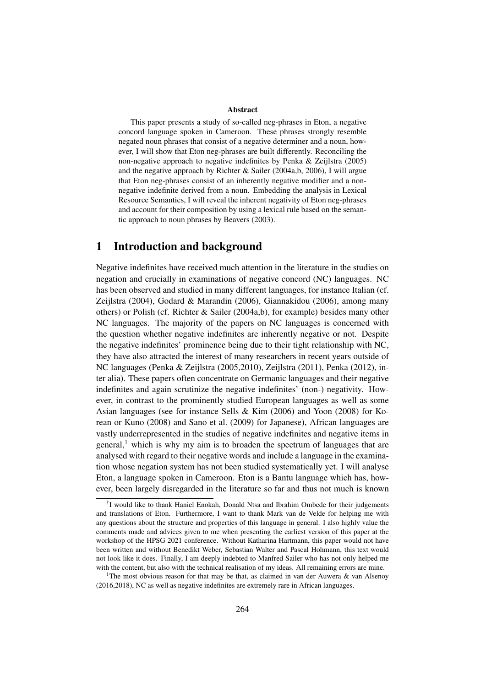#### Abstract

This paper presents a study of so-called neg-phrases in Eton, a negative concord language spoken in Cameroon. These phrases strongly resemble negated noun phrases that consist of a negative determiner and a noun, however, I will show that Eton neg-phrases are built differently. Reconciling the non-negative approach to negative indefinites by Penka & Zeijlstra (2005) and the negative approach by Richter & Sailer (2004a,b, 2006), I will argue that Eton neg-phrases consist of an inherently negative modifier and a nonnegative indefinite derived from a noun. Embedding the analysis in Lexical Resource Semantics, I will reveal the inherent negativity of Eton neg-phrases and account for their composition by using a lexical rule based on the semantic approach to noun phrases by Beavers (2003).

## 1 Introduction and background

Negative indefinites have received much attention in the literature in the studies on negation and crucially in examinations of negative concord (NC) languages. NC has been observed and studied in many different languages, for instance Italian (cf. Zeijlstra (2004), Godard & Marandin (2006), Giannakidou (2006), among many others) or Polish (cf. Richter & Sailer (2004a,b), for example) besides many other NC languages. The majority of the papers on NC languages is concerned with the question whether negative indefinites are inherently negative or not. Despite the negative indefinites' prominence being due to their tight relationship with NC, they have also attracted the interest of many researchers in recent years outside of NC languages (Penka & Zeijlstra (2005,2010), Zeijlstra (2011), Penka (2012), inter alia). These papers often concentrate on Germanic languages and their negative indefinites and again scrutinize the negative indefinites' (non-) negativity. However, in contrast to the prominently studied European languages as well as some Asian languages (see for instance Sells & Kim (2006) and Yoon (2008) for Korean or Kuno (2008) and Sano et al. (2009) for Japanese), African languages are vastly underrepresented in the studies of negative indefinites and negative items in general,<sup>1</sup> which is why my aim is to broaden the spectrum of languages that are analysed with regard to their negative words and include a language in the examination whose negation system has not been studied systematically yet. I will analyse Eton, a language spoken in Cameroon. Eton is a Bantu language which has, however, been largely disregarded in the literature so far and thus not much is known

<sup>†</sup> I would like to thank Haniel Enokah, Donald Ntsa and Ibrahim Ombede for their judgements and translations of Eton. Furthermore, I want to thank Mark van de Velde for helping me with any questions about the structure and properties of this language in general. I also highly value the comments made and advices given to me when presenting the earliest version of this paper at the workshop of the HPSG 2021 conference. Without Katharina Hartmann, this paper would not have been written and without Benedikt Weber, Sebastian Walter and Pascal Hohmann, this text would not look like it does. Finally, I am deeply indebted to Manfred Sailer who has not only helped me with the content, but also with the technical realisation of my ideas. All remaining errors are mine.

<sup>&</sup>lt;sup>1</sup>The most obvious reason for that may be that, as claimed in van der Auwera & van Alsenoy (2016,2018), NC as well as negative indefinites are extremely rare in African languages.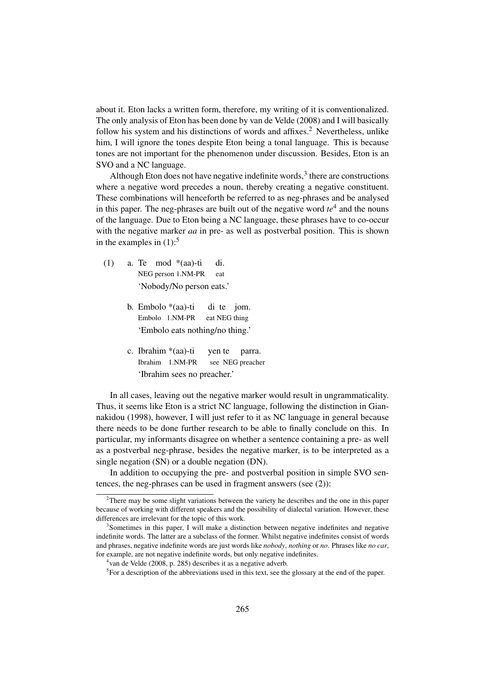about it. Eton lacks a written form, therefore, my writing of it is conventionalized. The only analysis of Eton has been done by van de Velde (2008) and I will basically follow his system and his distinctions of words and affixes.<sup>2</sup> Nevertheless, unlike him, I will ignore the tones despite Eton being a tonal language. This is because tones are not important for the phenomenon under discussion. Besides, Eton is an SVO and a NC language.

Although Eton does not have negative indefinite words, $3$  there are constructions where a negative word precedes a noun, thereby creating a negative constituent. These combinations will henceforth be referred to as neg-phrases and be analysed in this paper. The neg-phrases are built out of the negative word  $te<sup>4</sup>$  and the nouns of the language. Due to Eton being a NC language, these phrases have to co-occur with the negative marker *aa* in pre- as well as postverbal position. This is shown in the examples in  $(1)$ :<sup>5</sup>

- (1) a. Te mod \*(aa)-ti di. NEG person 1.NM-PR eat 'Nobody/No person eats.'
	- b. Embolo \*(aa)-ti di te jom. Embolo 1.NM-PR eat NEG thing 'Embolo eats nothing/no thing.'
	- c. Ibrahim \*(aa)-ti yen te parra. Ibrahim 1.NM-PR see NEG preacher 'Ibrahim sees no preacher.'

In all cases, leaving out the negative marker would result in ungrammaticality. Thus, it seems like Eton is a strict NC language, following the distinction in Giannakidou (1998), however, I will just refer to it as NC language in general because there needs to be done further research to be able to finally conclude on this. In particular, my informants disagree on whether a sentence containing a pre- as well as a postverbal neg-phrase, besides the negative marker, is to be interpreted as a single negation (SN) or a double negation (DN).

In addition to occupying the pre- and postverbal position in simple SVO sentences, the neg-phrases can be used in fragment answers (see (2)):

 $2^2$ There may be some slight variations between the variety he describes and the one in this paper because of working with different speakers and the possibility of dialectal variation. However, these differences are irrelevant for the topic of this work.

<sup>&</sup>lt;sup>3</sup>Sometimes in this paper, I will make a distinction between negative indefinites and negative indefinite words. The latter are a subclass of the former. Whilst negative indefinites consist of words and phrases, negative indefinite words are just words like *nobody*, *nothing* or *no*. Phrases like *no car*, for example, are not negative indefinite words, but only negative indefinites.

<sup>4</sup> van de Velde (2008, p. 285) describes it as a negative adverb.

<sup>&</sup>lt;sup>5</sup>For a description of the abbreviations used in this text, see the glossary at the end of the paper.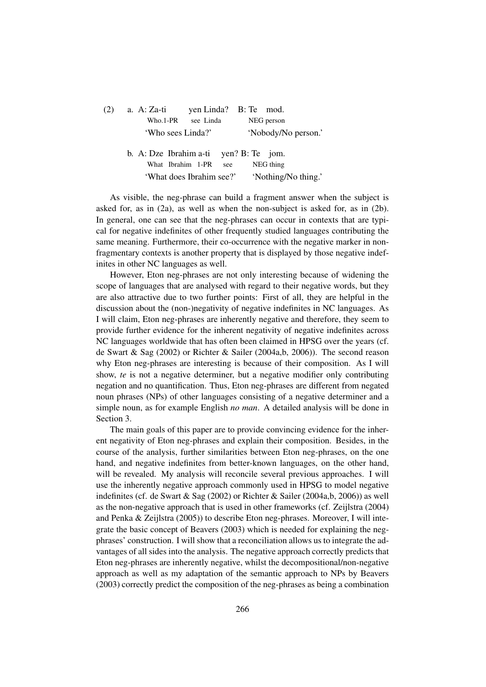| (2) | a. $A: Za-ti$            |                     | yen Linda? B: Te mod. |  |
|-----|--------------------------|---------------------|-----------------------|--|
|     | Who.1-PR                 | see Linda           | NEG person            |  |
|     | 'Who sees Linda?'        |                     | 'Nobody/No person.'   |  |
|     | b. A: Dze Ibrahim a-ti   |                     | yen? $B:$ Te jom.     |  |
|     | What Ibrahim 1-PR        | see                 | NEG thing             |  |
|     | 'What does Ibrahim see?' | 'Nothing/No thing.' |                       |  |

As visible, the neg-phrase can build a fragment answer when the subject is asked for, as in (2a), as well as when the non-subject is asked for, as in (2b). In general, one can see that the neg-phrases can occur in contexts that are typical for negative indefinites of other frequently studied languages contributing the same meaning. Furthermore, their co-occurrence with the negative marker in nonfragmentary contexts is another property that is displayed by those negative indefinites in other NC languages as well.

However, Eton neg-phrases are not only interesting because of widening the scope of languages that are analysed with regard to their negative words, but they are also attractive due to two further points: First of all, they are helpful in the discussion about the (non-)negativity of negative indefinites in NC languages. As I will claim, Eton neg-phrases are inherently negative and therefore, they seem to provide further evidence for the inherent negativity of negative indefinites across NC languages worldwide that has often been claimed in HPSG over the years (cf. de Swart & Sag (2002) or Richter & Sailer (2004a,b, 2006)). The second reason why Eton neg-phrases are interesting is because of their composition. As I will show, *te* is not a negative determiner, but a negative modifier only contributing negation and no quantification. Thus, Eton neg-phrases are different from negated noun phrases (NPs) of other languages consisting of a negative determiner and a simple noun, as for example English *no man*. A detailed analysis will be done in Section 3.

The main goals of this paper are to provide convincing evidence for the inherent negativity of Eton neg-phrases and explain their composition. Besides, in the course of the analysis, further similarities between Eton neg-phrases, on the one hand, and negative indefinites from better-known languages, on the other hand, will be revealed. My analysis will reconcile several previous approaches. I will use the inherently negative approach commonly used in HPSG to model negative indefinites (cf. de Swart & Sag (2002) or Richter & Sailer (2004a,b, 2006)) as well as the non-negative approach that is used in other frameworks (cf. Zeijlstra (2004) and Penka & Zeijlstra (2005)) to describe Eton neg-phrases. Moreover, I will integrate the basic concept of Beavers (2003) which is needed for explaining the negphrases' construction. I will show that a reconciliation allows us to integrate the advantages of all sides into the analysis. The negative approach correctly predicts that Eton neg-phrases are inherently negative, whilst the decompositional/non-negative approach as well as my adaptation of the semantic approach to NPs by Beavers (2003) correctly predict the composition of the neg-phrases as being a combination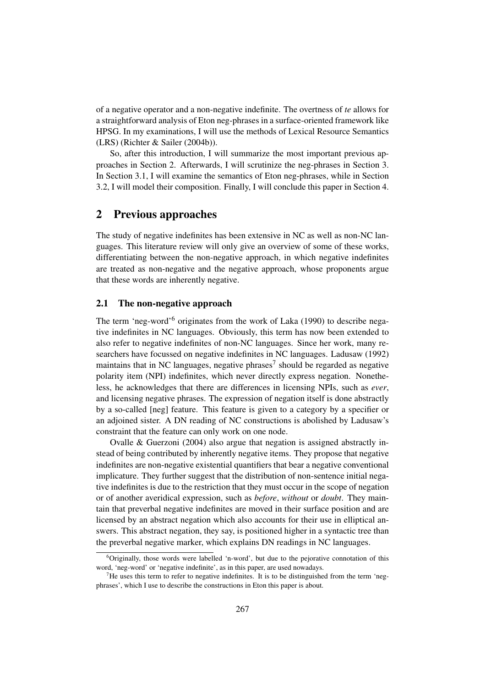of a negative operator and a non-negative indefinite. The overtness of *te* allows for a straightforward analysis of Eton neg-phrases in a surface-oriented framework like HPSG. In my examinations, I will use the methods of Lexical Resource Semantics (LRS) (Richter & Sailer (2004b)).

So, after this introduction, I will summarize the most important previous approaches in Section 2. Afterwards, I will scrutinize the neg-phrases in Section 3. In Section 3.1, I will examine the semantics of Eton neg-phrases, while in Section 3.2, I will model their composition. Finally, I will conclude this paper in Section 4.

## 2 Previous approaches

The study of negative indefinites has been extensive in NC as well as non-NC languages. This literature review will only give an overview of some of these works, differentiating between the non-negative approach, in which negative indefinites are treated as non-negative and the negative approach, whose proponents argue that these words are inherently negative.

#### 2.1 The non-negative approach

The term 'neg-word'<sup>6</sup> originates from the work of Laka (1990) to describe negative indefinites in NC languages. Obviously, this term has now been extended to also refer to negative indefinites of non-NC languages. Since her work, many researchers have focussed on negative indefinites in NC languages. Ladusaw (1992) maintains that in NC languages, negative phrases<sup>7</sup> should be regarded as negative polarity item (NPI) indefinites, which never directly express negation. Nonetheless, he acknowledges that there are differences in licensing NPIs, such as *ever*, and licensing negative phrases. The expression of negation itself is done abstractly by a so-called [neg] feature. This feature is given to a category by a specifier or an adjoined sister. A DN reading of NC constructions is abolished by Ladusaw's constraint that the feature can only work on one node.

Ovalle & Guerzoni (2004) also argue that negation is assigned abstractly instead of being contributed by inherently negative items. They propose that negative indefinites are non-negative existential quantifiers that bear a negative conventional implicature. They further suggest that the distribution of non-sentence initial negative indefinites is due to the restriction that they must occur in the scope of negation or of another averidical expression, such as *before*, *without* or *doubt*. They maintain that preverbal negative indefinites are moved in their surface position and are licensed by an abstract negation which also accounts for their use in elliptical answers. This abstract negation, they say, is positioned higher in a syntactic tree than the preverbal negative marker, which explains DN readings in NC languages.

 $6$ Originally, those words were labelled 'n-word', but due to the pejorative connotation of this word, 'neg-word' or 'negative indefinite', as in this paper, are used nowadays.

 $<sup>7</sup>$ He uses this term to refer to negative indefinites. It is to be distinguished from the term 'neg-</sup> phrases', which I use to describe the constructions in Eton this paper is about.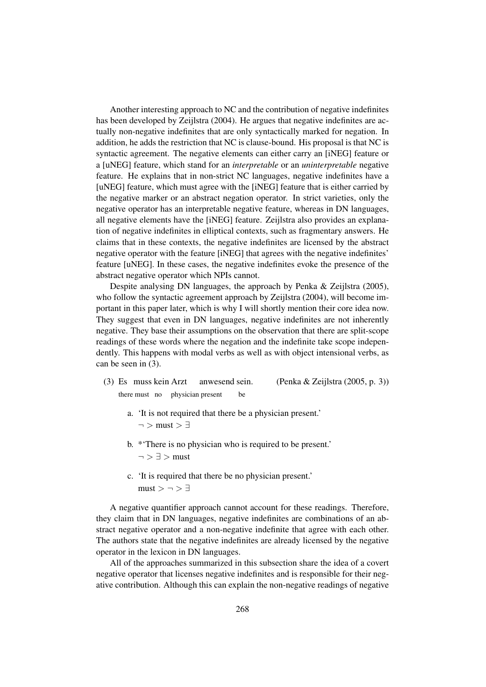Another interesting approach to NC and the contribution of negative indefinites has been developed by Zeijlstra (2004). He argues that negative indefinites are actually non-negative indefinites that are only syntactically marked for negation. In addition, he adds the restriction that NC is clause-bound. His proposal is that NC is syntactic agreement. The negative elements can either carry an [iNEG] feature or a [uNEG] feature, which stand for an *interpretable* or an *uninterpretable* negative feature. He explains that in non-strict NC languages, negative indefinites have a [uNEG] feature, which must agree with the [iNEG] feature that is either carried by the negative marker or an abstract negation operator. In strict varieties, only the negative operator has an interpretable negative feature, whereas in DN languages, all negative elements have the [iNEG] feature. Zeijlstra also provides an explanation of negative indefinites in elliptical contexts, such as fragmentary answers. He claims that in these contexts, the negative indefinites are licensed by the abstract negative operator with the feature [iNEG] that agrees with the negative indefinites' feature [uNEG]. In these cases, the negative indefinites evoke the presence of the abstract negative operator which NPIs cannot.

Despite analysing DN languages, the approach by Penka & Zeijlstra (2005), who follow the syntactic agreement approach by Zeijlstra (2004), will become important in this paper later, which is why I will shortly mention their core idea now. They suggest that even in DN languages, negative indefinites are not inherently negative. They base their assumptions on the observation that there are split-scope readings of these words where the negation and the indefinite take scope independently. This happens with modal verbs as well as with object intensional verbs, as can be seen in (3).

- (3) Es muss kein Arzt anwesend sein. (Penka & Zeijlstra (2005, p. 3)) there must no physician present be
	- a. 'It is not required that there be a physician present.'  $\neg$  > must >  $\exists$
	- b. \*'There is no physician who is required to be present.'  $\neg$   $\supset \exists$  > must
	- c. 'It is required that there be no physician present.'  $must > \neg > \exists$

A negative quantifier approach cannot account for these readings. Therefore, they claim that in DN languages, negative indefinites are combinations of an abstract negative operator and a non-negative indefinite that agree with each other. The authors state that the negative indefinites are already licensed by the negative operator in the lexicon in DN languages.

All of the approaches summarized in this subsection share the idea of a covert negative operator that licenses negative indefinites and is responsible for their negative contribution. Although this can explain the non-negative readings of negative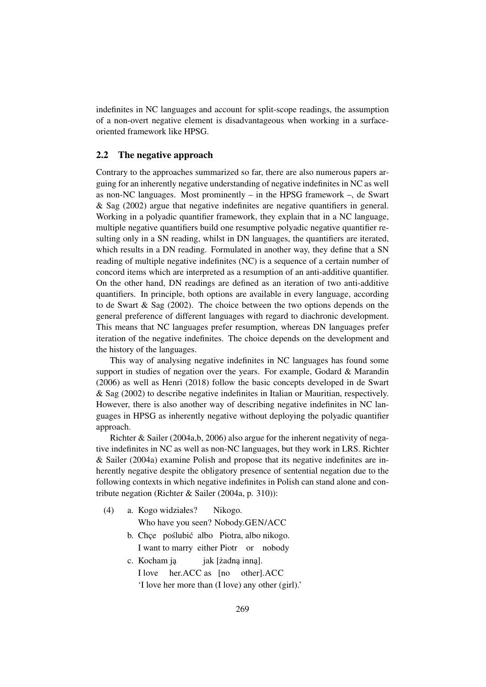indefinites in NC languages and account for split-scope readings, the assumption of a non-overt negative element is disadvantageous when working in a surfaceoriented framework like HPSG.

#### 2.2 The negative approach

Contrary to the approaches summarized so far, there are also numerous papers arguing for an inherently negative understanding of negative indefinites in NC as well as non-NC languages. Most prominently – in the HPSG framework –, de Swart & Sag (2002) argue that negative indefinites are negative quantifiers in general. Working in a polyadic quantifier framework, they explain that in a NC language, multiple negative quantifiers build one resumptive polyadic negative quantifier resulting only in a SN reading, whilst in DN languages, the quantifiers are iterated, which results in a DN reading. Formulated in another way, they define that a SN reading of multiple negative indefinites (NC) is a sequence of a certain number of concord items which are interpreted as a resumption of an anti-additive quantifier. On the other hand, DN readings are defined as an iteration of two anti-additive quantifiers. In principle, both options are available in every language, according to de Swart & Sag (2002). The choice between the two options depends on the general preference of different languages with regard to diachronic development. This means that NC languages prefer resumption, whereas DN languages prefer iteration of the negative indefinites. The choice depends on the development and the history of the languages.

This way of analysing negative indefinites in NC languages has found some support in studies of negation over the years. For example, Godard & Marandin (2006) as well as Henri (2018) follow the basic concepts developed in de Swart & Sag (2002) to describe negative indefinites in Italian or Mauritian, respectively. However, there is also another way of describing negative indefinites in NC languages in HPSG as inherently negative without deploying the polyadic quantifier approach.

Richter & Sailer (2004a,b, 2006) also argue for the inherent negativity of negative indefinites in NC as well as non-NC languages, but they work in LRS. Richter & Sailer (2004a) examine Polish and propose that its negative indefinites are inherently negative despite the obligatory presence of sentential negation due to the following contexts in which negative indefinites in Polish can stand alone and contribute negation (Richter & Sailer (2004a, p. 310)):

(4) a. Kogo widziałes? Nikogo. Who have you seen? Nobody.GEN/ACC b. Chce poślubić albo Piotra, albo nikogo. I want to marry either Piotr or nobody c. Kocham ja iak [zadna inna]. I love her.ACC as [no other].ACC 'I love her more than (I love) any other (girl).'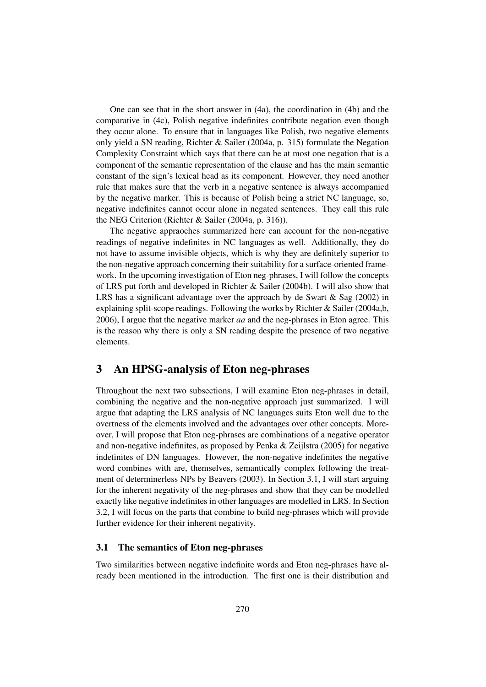One can see that in the short answer in (4a), the coordination in (4b) and the comparative in (4c), Polish negative indefinites contribute negation even though they occur alone. To ensure that in languages like Polish, two negative elements only yield a SN reading, Richter & Sailer (2004a, p. 315) formulate the Negation Complexity Constraint which says that there can be at most one negation that is a component of the semantic representation of the clause and has the main semantic constant of the sign's lexical head as its component. However, they need another rule that makes sure that the verb in a negative sentence is always accompanied by the negative marker. This is because of Polish being a strict NC language, so, negative indefinites cannot occur alone in negated sentences. They call this rule the NEG Criterion (Richter & Sailer (2004a, p. 316)).

The negative appraoches summarized here can account for the non-negative readings of negative indefinites in NC languages as well. Additionally, they do not have to assume invisible objects, which is why they are definitely superior to the non-negative approach concerning their suitability for a surface-oriented framework. In the upcoming investigation of Eton neg-phrases, I will follow the concepts of LRS put forth and developed in Richter & Sailer (2004b). I will also show that LRS has a significant advantage over the approach by de Swart  $\&$  Sag (2002) in explaining split-scope readings. Following the works by Richter & Sailer (2004a,b, 2006), I argue that the negative marker *aa* and the neg-phrases in Eton agree. This is the reason why there is only a SN reading despite the presence of two negative elements.

## 3 An HPSG-analysis of Eton neg-phrases

Throughout the next two subsections, I will examine Eton neg-phrases in detail, combining the negative and the non-negative approach just summarized. I will argue that adapting the LRS analysis of NC languages suits Eton well due to the overtness of the elements involved and the advantages over other concepts. Moreover, I will propose that Eton neg-phrases are combinations of a negative operator and non-negative indefinites, as proposed by Penka & Zeijlstra (2005) for negative indefinites of DN languages. However, the non-negative indefinites the negative word combines with are, themselves, semantically complex following the treatment of determinerless NPs by Beavers (2003). In Section 3.1, I will start arguing for the inherent negativity of the neg-phrases and show that they can be modelled exactly like negative indefinites in other languages are modelled in LRS. In Section 3.2, I will focus on the parts that combine to build neg-phrases which will provide further evidence for their inherent negativity.

#### 3.1 The semantics of Eton neg-phrases

Two similarities between negative indefinite words and Eton neg-phrases have already been mentioned in the introduction. The first one is their distribution and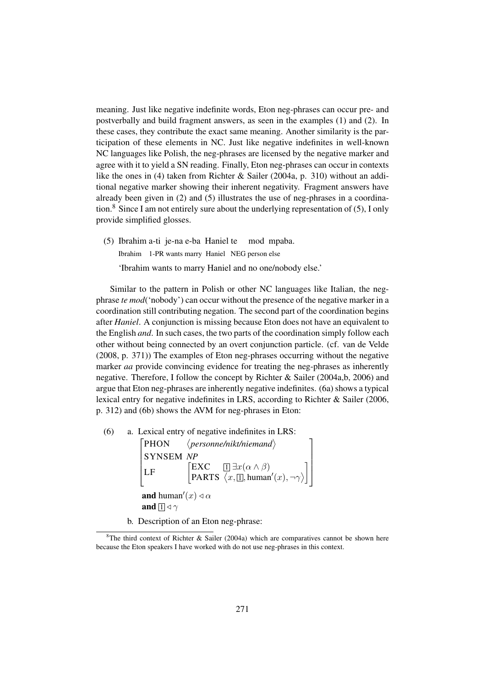meaning. Just like negative indefinite words, Eton neg-phrases can occur pre- and postverbally and build fragment answers, as seen in the examples (1) and (2). In these cases, they contribute the exact same meaning. Another similarity is the participation of these elements in NC. Just like negative indefinites in well-known NC languages like Polish, the neg-phrases are licensed by the negative marker and agree with it to yield a SN reading. Finally, Eton neg-phrases can occur in contexts like the ones in (4) taken from Richter & Sailer (2004a, p. 310) without an additional negative marker showing their inherent negativity. Fragment answers have already been given in (2) and (5) illustrates the use of neg-phrases in a coordination.<sup>8</sup> Since I am not entirely sure about the underlying representation of  $(5)$ , I only provide simplified glosses.

(5) Ibrahim a-ti je-na e-ba Haniel te mod mpaba. Ibrahim 1-PR wants marry Haniel NEG person else 'Ibrahim wants to marry Haniel and no one/nobody else.'

Similar to the pattern in Polish or other NC languages like Italian, the negphrase *te mod*('nobody') can occur without the presence of the negative marker in a coordination still contributing negation. The second part of the coordination begins after *Haniel*. A conjunction is missing because Eton does not have an equivalent to the English *and*. In such cases, the two parts of the coordination simply follow each other without being connected by an overt conjunction particle. (cf. van de Velde (2008, p. 371)) The examples of Eton neg-phrases occurring without the negative marker *aa* provide convincing evidence for treating the neg-phrases as inherently negative. Therefore, I follow the concept by Richter & Sailer (2004a,b, 2006) and argue that Eton neg-phrases are inherently negative indefinites. (6a) shows a typical lexical entry for negative indefinites in LRS, according to Richter & Sailer (2006, p. 312) and (6b) shows the AVM for neg-phrases in Eton:

(6) a. Lexical entry of negative indefinites in LRS:

 $[PHON \quad \langle$  SYNSEM *NP*  $\overline{1}$  $\vert$  LF  $\vert$  *personne/nikt/niemand*  $\text{EXC}$  1  $\exists x (\alpha \wedge \beta)$ PARTS  $\langle x,\Box,$ human' $(x), \neg \gamma$  $\langle \rangle$  $\overline{1}$ <sup>1</sup>  $\mathbf{I}$  $\frac{1}{2}$  $\left| \right|$  $\overline{1}$ **and** human' $(x)$   $\triangleleft \alpha$ and  $\boxed{1}$   $\triangleleft$   $\gamma$ 

b. Description of an Eton neg-phrase:

<sup>&</sup>lt;sup>8</sup>The third context of Richter & Sailer (2004a) which are comparatives cannot be shown here because the Eton speakers I have worked with do not use neg-phrases in this context.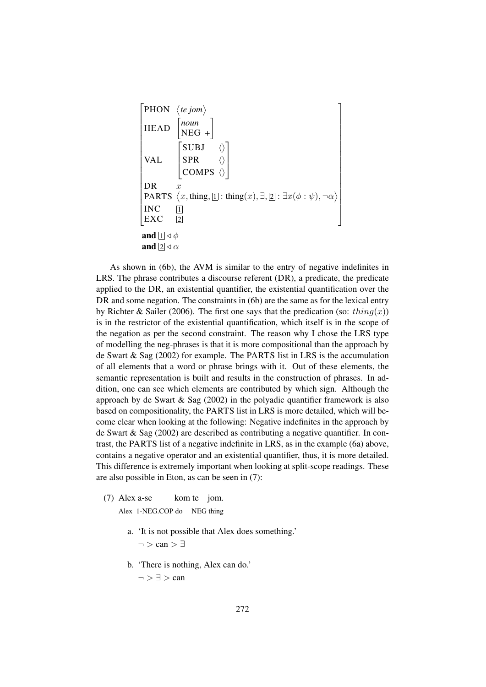| PHON                                | $\langle te\text{jom}\rangle$                                                                                                           |
|-------------------------------------|-----------------------------------------------------------------------------------------------------------------------------------------|
| HEAD                                | \n $\begin{bmatrix}\n\text{noun} \\ \text{NEG} + \end{bmatrix}$ \n                                                                      |
| VAL                                 | \n $\begin{bmatrix}\n\text{SUBJ} & \langle \rangle \\ \text{SPR} & \langle \rangle \\ \text{COMPS} & \langle \rangle\n\end{bmatrix}$ \n |
| DR                                  | $x$                                                                                                                                     |
| PARTS                               | $\langle x, \text{thing}, \text{1} \rangle : \text{thing}(x), \exists, \text{2} : \exists x(\phi : \psi), \neg \alpha \rangle$ \n       |
| INC                                 | \text{1}                                                                                                                                |
| EXC                                 | \text{2}                                                                                                                                |
| and $\text{1} \triangleleft \phi$   |                                                                                                                                         |
| and $\text{2} \triangleleft \alpha$ |                                                                                                                                         |

As shown in (6b), the AVM is similar to the entry of negative indefinites in LRS. The phrase contributes a discourse referent (DR), a predicate, the predicate applied to the DR, an existential quantifier, the existential quantification over the DR and some negation. The constraints in (6b) are the same as for the lexical entry by Richter & Sailer (2006). The first one says that the predication (so: thing(x)) is in the restrictor of the existential quantification, which itself is in the scope of the negation as per the second constraint. The reason why I chose the LRS type of modelling the neg-phrases is that it is more compositional than the approach by de Swart & Sag (2002) for example. The PARTS list in LRS is the accumulation of all elements that a word or phrase brings with it. Out of these elements, the semantic representation is built and results in the construction of phrases. In addition, one can see which elements are contributed by which sign. Although the approach by de Swart & Sag (2002) in the polyadic quantifier framework is also based on compositionality, the PARTS list in LRS is more detailed, which will become clear when looking at the following: Negative indefinites in the approach by de Swart & Sag (2002) are described as contributing a negative quantifier. In contrast, the PARTS list of a negative indefinite in LRS, as in the example (6a) above, contains a negative operator and an existential quantifier, thus, it is more detailed. This difference is extremely important when looking at split-scope readings. These are also possible in Eton, as can be seen in (7):

- (7) Alex a-se kom te jom.
	- Alex 1-NEG.COP do NEG thing
		- a. 'It is not possible that Alex does something.'  $\neg$  > can >  $\exists$
		- b. 'There is nothing, Alex can do.'  $\neg$   $\supset \exists$   $>$  can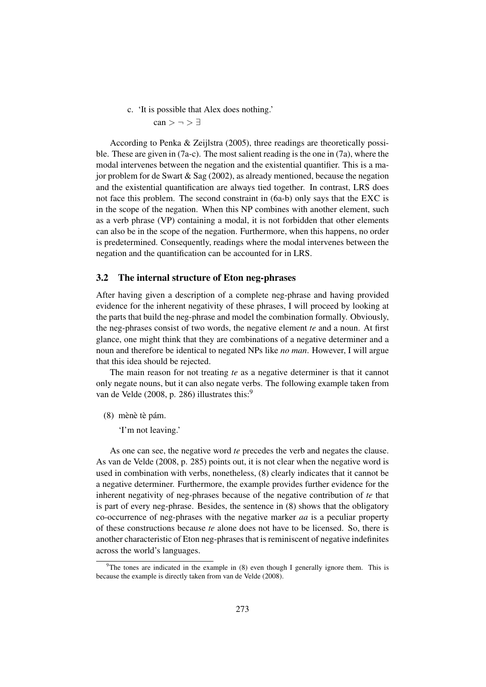c. 'It is possible that Alex does nothing.'  $can > \neg > \exists$ 

According to Penka & Zeijlstra (2005), three readings are theoretically possible. These are given in (7a-c). The most salient reading is the one in (7a), where the modal intervenes between the negation and the existential quantifier. This is a major problem for de Swart & Sag (2002), as already mentioned, because the negation and the existential quantification are always tied together. In contrast, LRS does not face this problem. The second constraint in (6a-b) only says that the EXC is in the scope of the negation. When this NP combines with another element, such as a verb phrase (VP) containing a modal, it is not forbidden that other elements can also be in the scope of the negation. Furthermore, when this happens, no order is predetermined. Consequently, readings where the modal intervenes between the negation and the quantification can be accounted for in LRS.

#### 3.2 The internal structure of Eton neg-phrases

After having given a description of a complete neg-phrase and having provided evidence for the inherent negativity of these phrases, I will proceed by looking at the parts that build the neg-phrase and model the combination formally. Obviously, the neg-phrases consist of two words, the negative element *te* and a noun. At first glance, one might think that they are combinations of a negative determiner and a noun and therefore be identical to negated NPs like *no man*. However, I will argue that this idea should be rejected.

The main reason for not treating *te* as a negative determiner is that it cannot only negate nouns, but it can also negate verbs. The following example taken from van de Velde (2008, p. 286) illustrates this:<sup>9</sup>

(8) mènè tè pám.

'I'm not leaving.'

As one can see, the negative word *te* precedes the verb and negates the clause. As van de Velde (2008, p. 285) points out, it is not clear when the negative word is used in combination with verbs, nonetheless, (8) clearly indicates that it cannot be a negative determiner. Furthermore, the example provides further evidence for the inherent negativity of neg-phrases because of the negative contribution of *te* that is part of every neg-phrase. Besides, the sentence in (8) shows that the obligatory co-occurrence of neg-phrases with the negative marker *aa* is a peculiar property of these constructions because *te* alone does not have to be licensed. So, there is another characteristic of Eton neg-phrases that is reminiscent of negative indefinites across the world's languages.

<sup>&</sup>lt;sup>9</sup>The tones are indicated in the example in  $(8)$  even though I generally ignore them. This is because the example is directly taken from van de Velde (2008).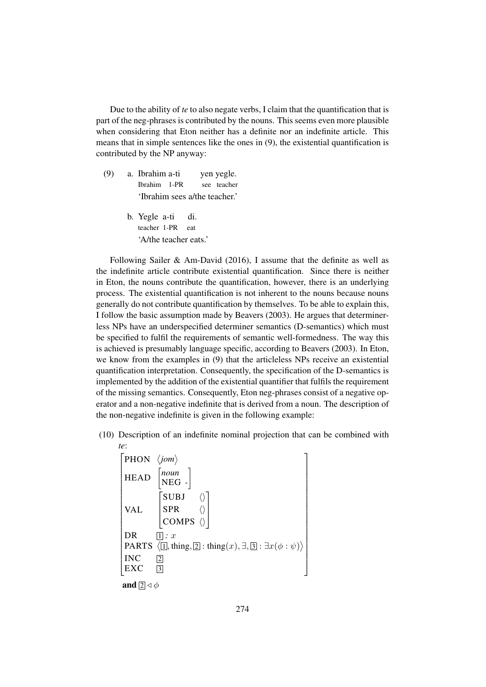Due to the ability of *te* to also negate verbs, I claim that the quantification that is part of the neg-phrases is contributed by the nouns. This seems even more plausible when considering that Eton neither has a definite nor an indefinite article. This means that in simple sentences like the ones in (9), the existential quantification is contributed by the NP anyway:

- (9) a. Ibrahim a-ti yen yegle. Ibrahim 1-PR see teacher 'Ibrahim sees a/the teacher.'
	- b. Yegle a-ti di. teacher 1-PR eat 'A/the teacher eats.'

Following Sailer & Am-David (2016), I assume that the definite as well as the indefinite article contribute existential quantification. Since there is neither in Eton, the nouns contribute the quantification, however, there is an underlying process. The existential quantification is not inherent to the nouns because nouns generally do not contribute quantification by themselves. To be able to explain this, I follow the basic assumption made by Beavers (2003). He argues that determinerless NPs have an underspecified determiner semantics (D-semantics) which must be specified to fulfil the requirements of semantic well-formedness. The way this is achieved is presumably language specific, according to Beavers (2003). In Eton, we know from the examples in (9) that the articleless NPs receive an existential quantification interpretation. Consequently, the specification of the D-semantics is implemented by the addition of the existential quantifier that fulfils the requirement of the missing semantics. Consequently, Eton neg-phrases consist of a negative operator and a non-negative indefinite that is derived from a noun. The description of the non-negative indefinite is given in the following example:

(10) Description of an indefinite nominal projection that can be combined with *te*:

 PHON *jom*  $\overline{1}$  $H$ <sub>HEAD</sub>  $\mathbf{I}$  $\overline{1}$  $\mathbf{I}$  $\overline{1}$  $\mathbf{I}$  $\overline{1}$  $\overline{1}$  $\mathbf{I}$  $\overline{1}$  $\mathbf{I}$  $\overline{1}$ PARTS  $\langle 1, x \rangle$ <br>PARTS  $\langle 1, \frac{1}{2} : \frac{1}{2} : \frac{1}{2} : \frac{1}{2} : \frac{1}{2} : \frac{1}{2} : \frac{1}{2} : \frac{1}{2} : \frac{1}{2} : \frac{1}{2} : \frac{1}{2} : \frac{1}{2} : \frac{1}{2} : \frac{1}{2} : \frac{1}{2} : \frac{1}{2} : \frac{1}{2} : \frac{1}{2} : \frac{1}{2} : \frac{1}{2} : \frac{1}{2} : \frac{1}{2} : \frac{1}{2} : \frac{1}{2} :$  $\overline{1}$  $\begin{bmatrix} \text{INC} \\ \text{EXC} \end{bmatrix}$ *noun* NEG *-*  $\overline{1}$ VAL  $\begin{bmatrix} SUBJ & \langle \rangle \end{bmatrix}$  $\vert$  SPR  $\langle \rangle$  $\overline{1}$ COMPS  $\langle \rangle$ T  $\mathbf{I}$  $\mathbf{I}$ DR  $\Box$  : x  $INC \t2$  $\overline{1}$  $\left| \right|$  $\frac{1}{2}$  $\left| \right|$  $\frac{1}{2}$  $\left| \right|$  $\frac{1}{2}$  $\left| \right|$  $\left| \right|$  $\frac{1}{2}$  $\left| \right|$  $\frac{1}{2}$  $\left| \right|$  $\frac{1}{2}$  $\left| \right|$  $\frac{1}{2}$  $\left| \right|$  $\frac{1}{2}$  $\mathbf{I}$ and  $\boxed{2} \triangleleft \phi$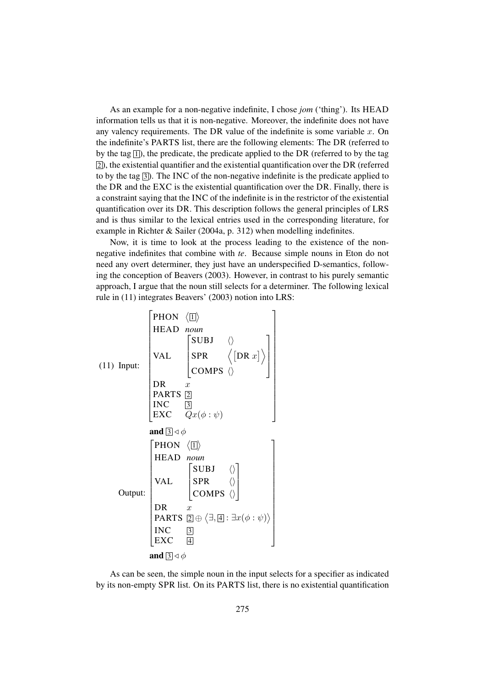As an example for a non-negative indefinite, I chose *jom* ('thing'). Its HEAD information tells us that it is non-negative. Moreover, the indefinite does not have any valency requirements. The DR value of the indefinite is some variable  $x$ . On the indefinite's PARTS list, there are the following elements: The DR (referred to by the tag  $\overline{1}$ ), the predicate, the predicate applied to the DR (referred to by the tag  $[2]$ ), the existential quantifier and the existential quantification over the DR (referred to by the tag  $\overline{3}$ ). The INC of the non-negative indefinite is the predicate applied to the DR and the EXC is the existential quantification over the DR. Finally, there is a constraint saying that the INC of the indefinite is in the restrictor of the existential quantification over its DR. This description follows the general principles of LRS and is thus similar to the lexical entries used in the corresponding literature, for example in Richter & Sailer (2004a, p. 312) when modelling indefinites.

Now, it is time to look at the process leading to the existence of the nonnegative indefinites that combine with *te*. Because simple nouns in Eton do not need any overt determiner, they just have an underspecified D-semantics, following the conception of Beavers (2003). However, in contrast to his purely semantic approach, I argue that the noun still selects for a determiner. The following lexical rule in (11) integrates Beavers' (2003) notion into LRS:



As can be seen, the simple noun in the input selects for a specifier as indicated by its non-empty SPR list. On its PARTS list, there is no existential quantification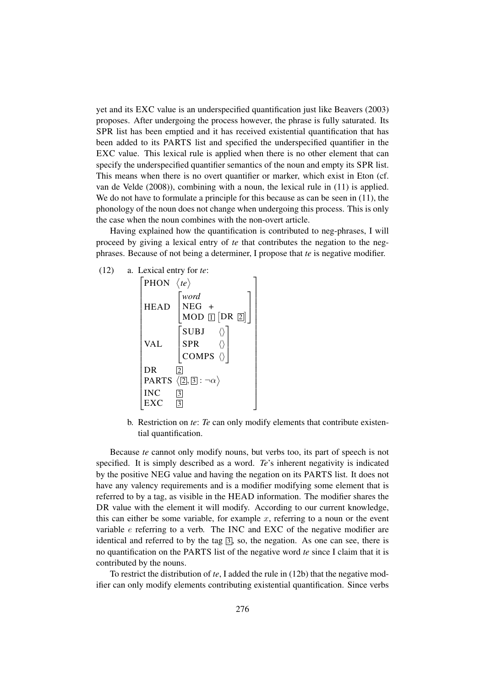yet and its EXC value is an underspecified quantification just like Beavers (2003) proposes. After undergoing the process however, the phrase is fully saturated. Its SPR list has been emptied and it has received existential quantification that has been added to its PARTS list and specified the underspecified quantifier in the EXC value. This lexical rule is applied when there is no other element that can specify the underspecified quantifier semantics of the noun and empty its SPR list. This means when there is no overt quantifier or marker, which exist in Eton (cf. van de Velde (2008)), combining with a noun, the lexical rule in (11) is applied. We do not have to formulate a principle for this because as can be seen in  $(11)$ , the phonology of the noun does not change when undergoing this process. This is only the case when the noun combines with the non-overt article.

Having explained how the quantification is contributed to neg-phrases, I will proceed by giving a lexical entry of *te* that contributes the negation to the negphrases. Because of not being a determiner, I propose that *te* is negative modifier.



b. Restriction on *te*: *Te* can only modify elements that contribute existential quantification.

Because *te* cannot only modify nouns, but verbs too, its part of speech is not specified. It is simply described as a word. *Te*'s inherent negativity is indicated by the positive NEG value and having the negation on its PARTS list. It does not have any valency requirements and is a modifier modifying some element that is referred to by a tag, as visible in the HEAD information. The modifier shares the DR value with the element it will modify. According to our current knowledge, this can either be some variable, for example  $x$ , referring to a noun or the event variable e referring to a verb. The INC and EXC of the negative modifier are identical and referred to by the tag  $\overline{3}$ , so, the negation. As one can see, there is no quantification on the PARTS list of the negative word *te* since I claim that it is contributed by the nouns.

To restrict the distribution of *te*, I added the rule in (12b) that the negative modifier can only modify elements contributing existential quantification. Since verbs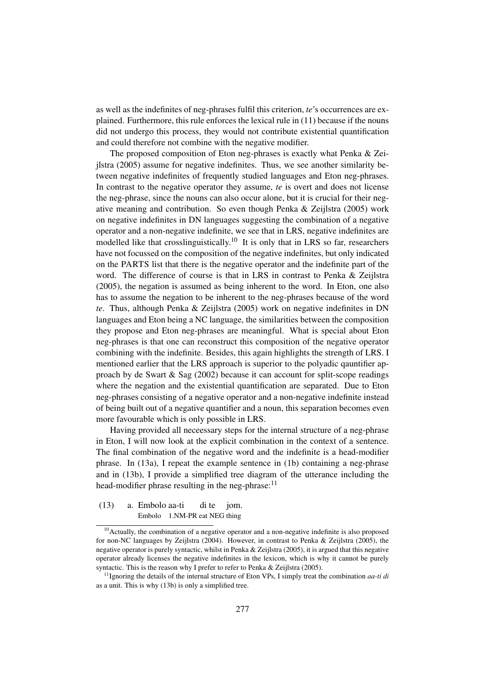as well as the indefinites of neg-phrases fulfil this criterion, *te*'s occurrences are explained. Furthermore, this rule enforces the lexical rule in (11) because if the nouns did not undergo this process, they would not contribute existential quantification and could therefore not combine with the negative modifier.

The proposed composition of Eton neg-phrases is exactly what Penka & Zeijlstra (2005) assume for negative indefinites. Thus, we see another similarity between negative indefinites of frequently studied languages and Eton neg-phrases. In contrast to the negative operator they assume, *te* is overt and does not license the neg-phrase, since the nouns can also occur alone, but it is crucial for their negative meaning and contribution. So even though Penka & Zeijlstra (2005) work on negative indefinites in DN languages suggesting the combination of a negative operator and a non-negative indefinite, we see that in LRS, negative indefinites are modelled like that crosslinguistically.<sup>10</sup> It is only that in LRS so far, researchers have not focussed on the composition of the negative indefinites, but only indicated on the PARTS list that there is the negative operator and the indefinite part of the word. The difference of course is that in LRS in contrast to Penka & Zeijlstra (2005), the negation is assumed as being inherent to the word. In Eton, one also has to assume the negation to be inherent to the neg-phrases because of the word *te*. Thus, although Penka & Zeijlstra (2005) work on negative indefinites in DN languages and Eton being a NC language, the similarities between the composition they propose and Eton neg-phrases are meaningful. What is special about Eton neg-phrases is that one can reconstruct this composition of the negative operator combining with the indefinite. Besides, this again highlights the strength of LRS. I mentioned earlier that the LRS approach is superior to the polyadic qauntifier approach by de Swart & Sag  $(2002)$  because it can account for split-scope readings where the negation and the existential quantification are separated. Due to Eton neg-phrases consisting of a negative operator and a non-negative indefinite instead of being built out of a negative quantifier and a noun, this separation becomes even more favourable which is only possible in LRS.

Having provided all neceessary steps for the internal structure of a neg-phrase in Eton, I will now look at the explicit combination in the context of a sentence. The final combination of the negative word and the indefinite is a head-modifier phrase. In (13a), I repeat the example sentence in (1b) containing a neg-phrase and in (13b), I provide a simplified tree diagram of the utterance including the head-modifier phrase resulting in the neg-phrase: $11$ 

(13) a. Embolo aa-ti di te jom. Embolo 1.NM-PR eat NEG thing

 $10$ Actually, the combination of a negative operator and a non-negative indefinite is also proposed for non-NC languages by Zeijlstra (2004). However, in contrast to Penka & Zeijlstra (2005), the negative operator is purely syntactic, whilst in Penka & Zeijlstra (2005), it is argued that this negative operator already licenses the negative indefinites in the lexicon, which is why it cannot be purely syntactic. This is the reason why I prefer to refer to Penka & Zeijlstra (2005).

<sup>&</sup>lt;sup>11</sup> Ignoring the details of the internal structure of Eton VPs, I simply treat the combination *aa-ti di* as a unit. This is why (13b) is only a simplified tree.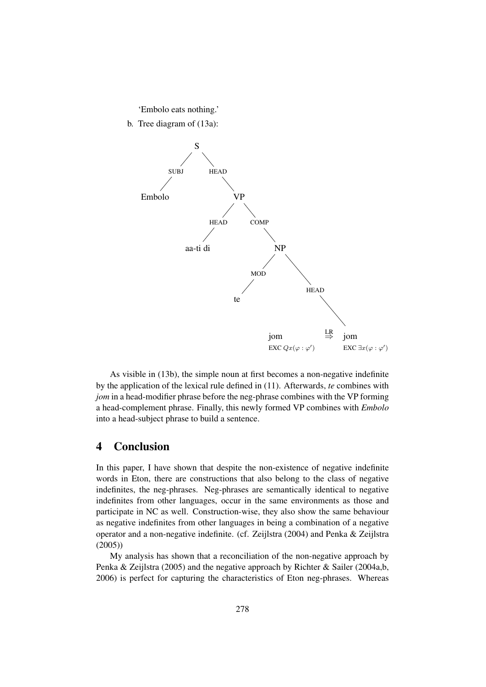#### 'Embolo eats nothing.'

b. Tree diagram of (13a):



As visible in (13b), the simple noun at first becomes a non-negative indefinite by the application of the lexical rule defined in (11). Afterwards, *te* combines with *jom* in a head-modifier phrase before the neg-phrase combines with the VP forming a head-complement phrase. Finally, this newly formed VP combines with *Embolo* into a head-subject phrase to build a sentence.

## 4 Conclusion

In this paper, I have shown that despite the non-existence of negative indefinite words in Eton, there are constructions that also belong to the class of negative indefinites, the neg-phrases. Neg-phrases are semantically identical to negative indefinites from other languages, occur in the same environments as those and participate in NC as well. Construction-wise, they also show the same behaviour as negative indefinites from other languages in being a combination of a negative operator and a non-negative indefinite. (cf. Zeijlstra (2004) and Penka & Zeijlstra (2005))

My analysis has shown that a reconciliation of the non-negative approach by Penka & Zeijlstra (2005) and the negative approach by Richter & Sailer (2004a,b, 2006) is perfect for capturing the characteristics of Eton neg-phrases. Whereas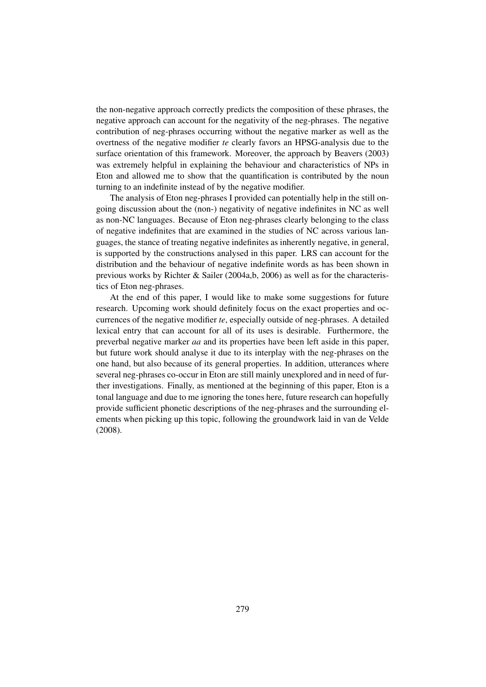the non-negative approach correctly predicts the composition of these phrases, the negative approach can account for the negativity of the neg-phrases. The negative contribution of neg-phrases occurring without the negative marker as well as the overtness of the negative modifier *te* clearly favors an HPSG-analysis due to the surface orientation of this framework. Moreover, the approach by Beavers (2003) was extremely helpful in explaining the behaviour and characteristics of NPs in Eton and allowed me to show that the quantification is contributed by the noun turning to an indefinite instead of by the negative modifier.

The analysis of Eton neg-phrases I provided can potentially help in the still ongoing discussion about the (non-) negativity of negative indefinites in NC as well as non-NC languages. Because of Eton neg-phrases clearly belonging to the class of negative indefinites that are examined in the studies of NC across various languages, the stance of treating negative indefinites as inherently negative, in general, is supported by the constructions analysed in this paper. LRS can account for the distribution and the behaviour of negative indefinite words as has been shown in previous works by Richter & Sailer (2004a,b, 2006) as well as for the characteristics of Eton neg-phrases.

At the end of this paper, I would like to make some suggestions for future research. Upcoming work should definitely focus on the exact properties and occurrences of the negative modifier *te*, especially outside of neg-phrases. A detailed lexical entry that can account for all of its uses is desirable. Furthermore, the preverbal negative marker *aa* and its properties have been left aside in this paper, but future work should analyse it due to its interplay with the neg-phrases on the one hand, but also because of its general properties. In addition, utterances where several neg-phrases co-occur in Eton are still mainly unexplored and in need of further investigations. Finally, as mentioned at the beginning of this paper, Eton is a tonal language and due to me ignoring the tones here, future research can hopefully provide sufficient phonetic descriptions of the neg-phrases and the surrounding elements when picking up this topic, following the groundwork laid in van de Velde (2008).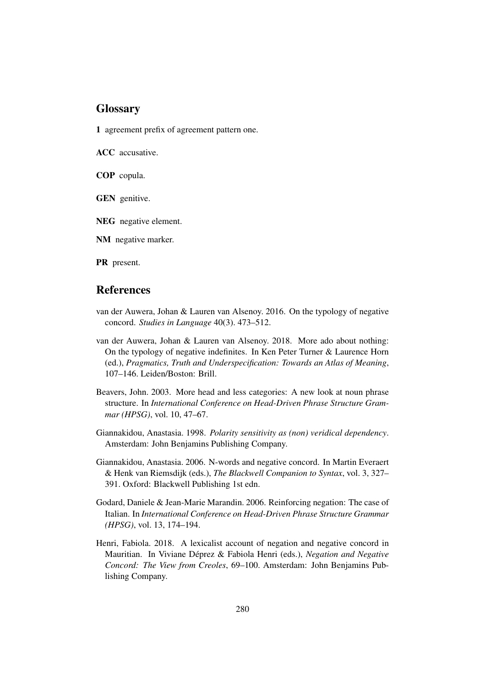### **Glossary**

1 agreement prefix of agreement pattern one.

ACC accusative.

COP copula.

GEN genitive.

NEG negative element.

NM negative marker.

PR present.

## References

- van der Auwera, Johan & Lauren van Alsenoy. 2016. On the typology of negative concord. *Studies in Language* 40(3). 473–512.
- van der Auwera, Johan & Lauren van Alsenoy. 2018. More ado about nothing: On the typology of negative indefinites. In Ken Peter Turner & Laurence Horn (ed.), *Pragmatics, Truth and Underspecification: Towards an Atlas of Meaning*, 107–146. Leiden/Boston: Brill.
- Beavers, John. 2003. More head and less categories: A new look at noun phrase structure. In *International Conference on Head-Driven Phrase Structure Grammar (HPSG)*, vol. 10, 47–67.
- Giannakidou, Anastasia. 1998. *Polarity sensitivity as (non) veridical dependency*. Amsterdam: John Benjamins Publishing Company.
- Giannakidou, Anastasia. 2006. N-words and negative concord. In Martin Everaert & Henk van Riemsdijk (eds.), *The Blackwell Companion to Syntax*, vol. 3, 327– 391. Oxford: Blackwell Publishing 1st edn.
- Godard, Daniele & Jean-Marie Marandin. 2006. Reinforcing negation: The case of Italian. In *International Conference on Head-Driven Phrase Structure Grammar (HPSG)*, vol. 13, 174–194.
- Henri, Fabiola. 2018. A lexicalist account of negation and negative concord in Mauritian. In Viviane Déprez & Fabiola Henri (eds.), *Negation and Negative Concord: The View from Creoles*, 69–100. Amsterdam: John Benjamins Publishing Company.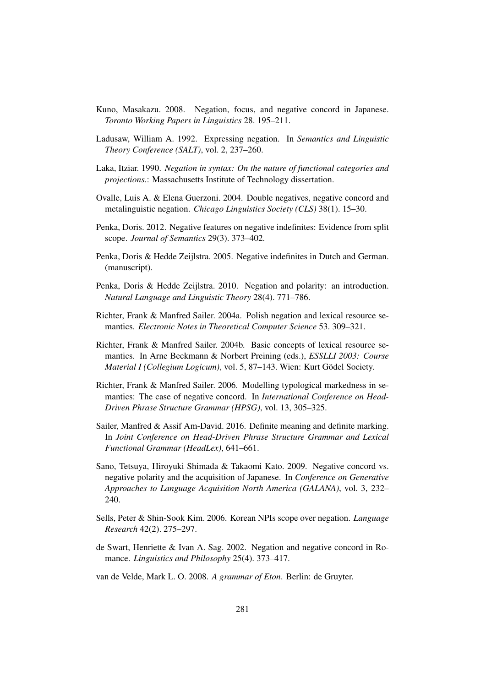- Kuno, Masakazu. 2008. Negation, focus, and negative concord in Japanese. *Toronto Working Papers in Linguistics* 28. 195–211.
- Ladusaw, William A. 1992. Expressing negation. In *Semantics and Linguistic Theory Conference (SALT)*, vol. 2, 237–260.
- Laka, Itziar. 1990. *Negation in syntax: On the nature of functional categories and projections.*: Massachusetts Institute of Technology dissertation.
- Ovalle, Luis A. & Elena Guerzoni. 2004. Double negatives, negative concord and metalinguistic negation. *Chicago Linguistics Society (CLS)* 38(1). 15–30.
- Penka, Doris. 2012. Negative features on negative indefinites: Evidence from split scope. *Journal of Semantics* 29(3). 373–402.
- Penka, Doris & Hedde Zeijlstra. 2005. Negative indefinites in Dutch and German. (manuscript).
- Penka, Doris & Hedde Zeijlstra. 2010. Negation and polarity: an introduction. *Natural Language and Linguistic Theory* 28(4). 771–786.
- Richter, Frank & Manfred Sailer. 2004a. Polish negation and lexical resource semantics. *Electronic Notes in Theoretical Computer Science* 53. 309–321.
- Richter, Frank & Manfred Sailer. 2004b. Basic concepts of lexical resource semantics. In Arne Beckmann & Norbert Preining (eds.), *ESSLLI 2003: Course Material I (Collegium Logicum)*, vol. 5, 87–143. Wien: Kurt Gödel Society.
- Richter, Frank & Manfred Sailer. 2006. Modelling typological markedness in semantics: The case of negative concord. In *International Conference on Head-Driven Phrase Structure Grammar (HPSG)*, vol. 13, 305–325.
- Sailer, Manfred & Assif Am-David. 2016. Definite meaning and definite marking. In *Joint Conference on Head-Driven Phrase Structure Grammar and Lexical Functional Grammar (HeadLex)*, 641–661.
- Sano, Tetsuya, Hiroyuki Shimada & Takaomi Kato. 2009. Negative concord vs. negative polarity and the acquisition of Japanese. In *Conference on Generative Approaches to Language Acquisition North America (GALANA)*, vol. 3, 232– 240.
- Sells, Peter & Shin-Sook Kim. 2006. Korean NPIs scope over negation. *Language Research* 42(2). 275–297.
- de Swart, Henriette & Ivan A. Sag. 2002. Negation and negative concord in Romance. *Linguistics and Philosophy* 25(4). 373–417.

van de Velde, Mark L. O. 2008. *A grammar of Eton*. Berlin: de Gruyter.